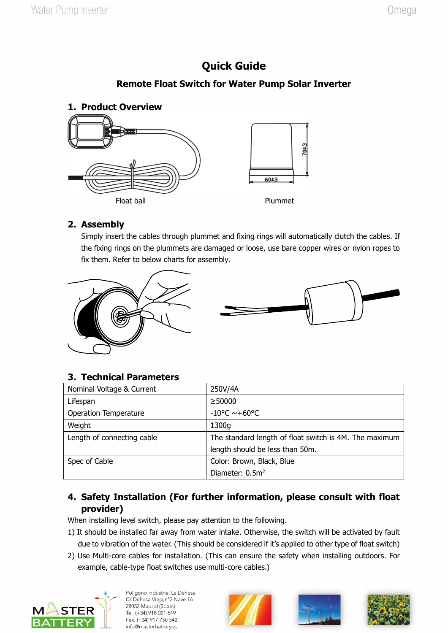# **Quick Guide**

### **Remote Float Switch for Water Pump Solar Inverter**



#### **2. Assembly**

Simply insert the cables through plummet and fixing rings will automatically clutch the cables. If the fixing rings on the plummets are damaged or loose, use bare copper wires or nylon ropes to fix them. Refer to below charts for assembly.





### **3. Technical Parameters**

| Nominal Voltage & Current    | 250V/4A                                                |
|------------------------------|--------------------------------------------------------|
| Lifespan                     | $\geq$ 50000                                           |
| <b>Operation Temperature</b> | $-10^{\circ}$ C ~+60°C                                 |
| Weight                       | 1300g                                                  |
| Length of connecting cable   | The standard length of float switch is 4M. The maximum |
|                              | length should be less than 50m.                        |
| Spec of Cable                | Color: Brown, Black, Blue                              |
|                              | Diameter: 0.5m <sup>2</sup>                            |

### **4. Safety Installation (For further information, please consult with float provider)**

When installing level switch, please pay attention to the following.

- 1) It should be installed far away from water intake. Otherwise, the switch will be activated by fault due to vibration of the water. (This should be considered if it's applied to other type of float switch)
- 2) Use Multi-core cables for installation. (This can ensure the safety when installing outdoors. For example, cable-type float switches use multi-core cables.)



Polígono industrial La Dehesa C/ Dehesa Vieja, n°2 Nave 16 28052 Madrid (Spain) Tel. (+34) 918 021 649 Fax. (+34) 917 750 542 info@masterbattery.es





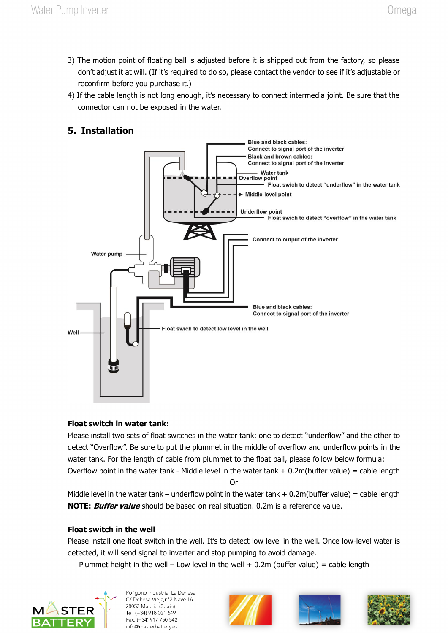- 3) The motion point of floating ball is adjusted before it is shipped out from the factory, so please don't adjust it at will. (If it's required to do so, please contact the vendor to see if it's adjustable or reconfirm before you purchase it.)
- 4) If the cable length is not long enough, it's necessary to connect intermedia joint. Be sure that the connector can not be exposed in the water.

## **5. Installation**



#### **Float switch in water tank:**

Please install two sets of float switches in the water tank: one to detect "underflow" and the other to detect "Overflow". Be sure to put the plummet in the middle of overflow and underflow points in the water tank. For the length of cable from plummet to the float ball, please follow below formula: Overflow point in the water tank - Middle level in the water tank  $+ 0.2$ m(buffer value) = cable length

Or

Middle level in the water tank – underflow point in the water tank  $+0.2$ m(buffer value) = cable length **NOTE: Buffer value** should be based on real situation. 0.2m is a reference value.

#### **Float switch in the well**

Please install one float switch in the well. It's to detect low level in the well. Once low-level water is detected, it will send signal to inverter and stop pumping to avoid damage.

Plummet height in the well – Low level in the well  $+$  0.2m (buffer value) = cable length



Polígono industrial La Dehesa C/ Dehesa Vieja, n°2 Nave 16 28052 Madrid (Spain) Tel. (+34) 918 021 649 Fax. (+34) 917 750 542 info@masterbattery.es